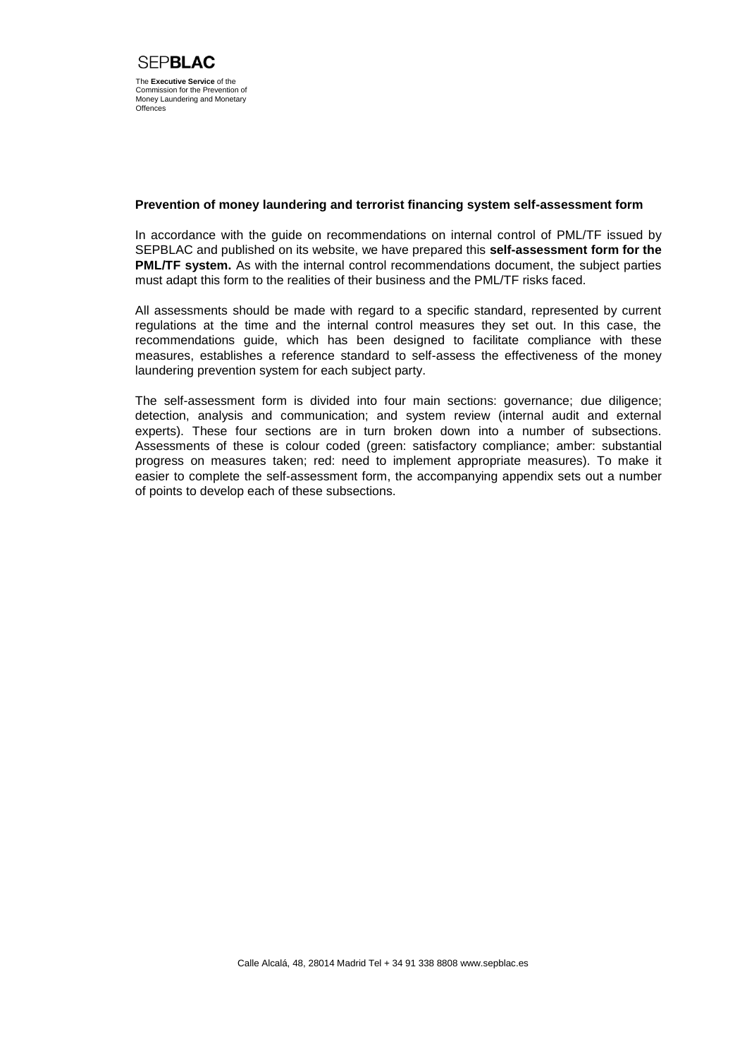#### **Prevention of money laundering and terrorist financing system self-assessment form**

In accordance with the guide on recommendations on internal control of PML/TF issued by SEPBLAC and published on its website, we have prepared this **self-assessment form for the PML/TF system.** As with the internal control recommendations document, the subject parties must adapt this form to the realities of their business and the PML/TF risks faced.

All assessments should be made with regard to a specific standard, represented by current regulations at the time and the internal control measures they set out. In this case, the recommendations guide, which has been designed to facilitate compliance with these measures, establishes a reference standard to self-assess the effectiveness of the money laundering prevention system for each subject party.

The self-assessment form is divided into four main sections: governance; due diligence; detection, analysis and communication; and system review (internal audit and external experts). These four sections are in turn broken down into a number of subsections. Assessments of these is colour coded (green: satisfactory compliance; amber: substantial progress on measures taken; red: need to implement appropriate measures). To make it easier to complete the self-assessment form, the accompanying appendix sets out a number of points to develop each of these subsections.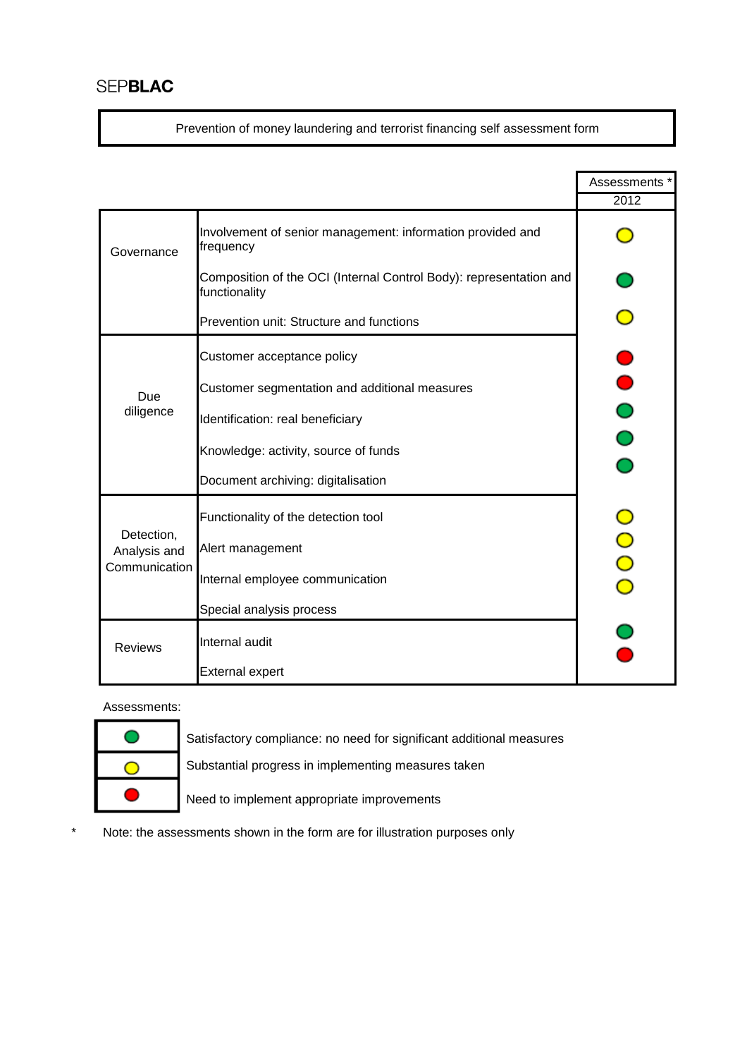Prevention of money laundering and terrorist financing self assessment form

|                                             |                                                                                     | Assessments * |
|---------------------------------------------|-------------------------------------------------------------------------------------|---------------|
|                                             |                                                                                     | 2012          |
| Governance                                  | Involvement of senior management: information provided and<br>frequency             |               |
|                                             | Composition of the OCI (Internal Control Body): representation and<br>functionality |               |
|                                             | Prevention unit: Structure and functions                                            |               |
| Due<br>diligence                            | Customer acceptance policy                                                          |               |
|                                             | Customer segmentation and additional measures                                       |               |
|                                             | Identification: real beneficiary                                                    |               |
|                                             | Knowledge: activity, source of funds                                                |               |
|                                             | Document archiving: digitalisation                                                  |               |
| Detection,<br>Analysis and<br>Communication | Functionality of the detection tool                                                 |               |
|                                             | Alert management                                                                    |               |
|                                             | Internal employee communication                                                     |               |
|                                             | Special analysis process                                                            |               |
| <b>Reviews</b>                              | Internal audit                                                                      |               |
|                                             | <b>External expert</b>                                                              |               |

Assessments:

| S |
|---|
| S |
| N |

Satisfactory compliance: no need for significant additional measures Substantial progress in implementing measures taken

leed to implement appropriate improvements

\* Note: the assessments shown in the form are for illustration purposes only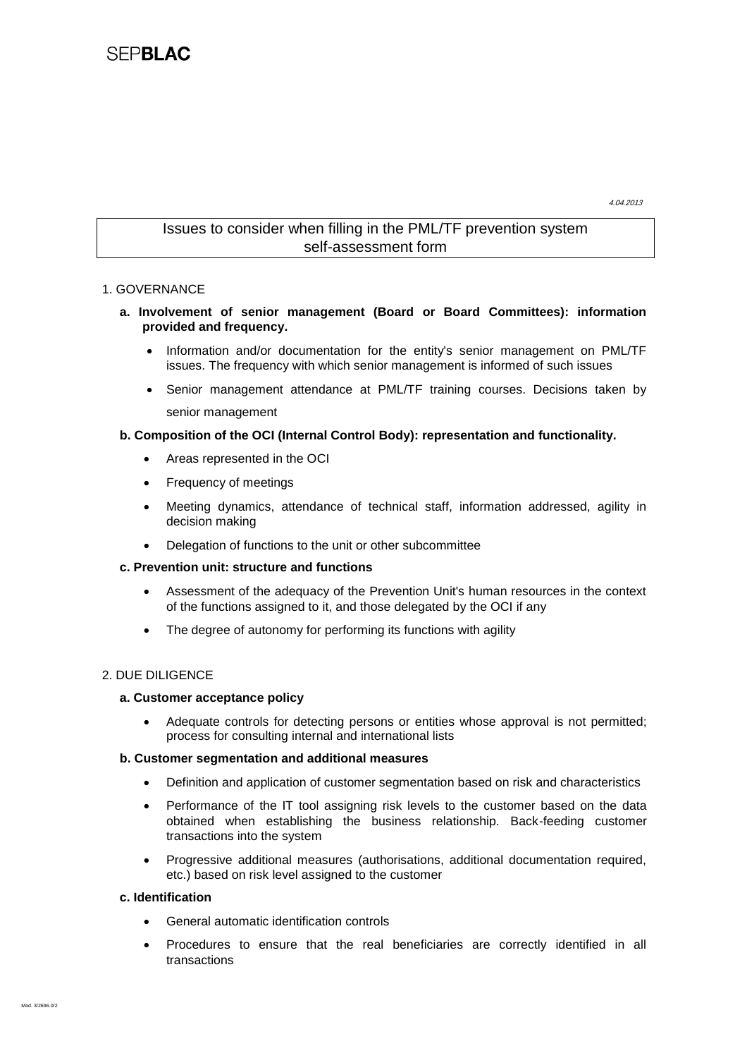4.04.2013

## Issues to consider when filling in the PML/TF prevention system self-assessment form

## 1. GOVERNANCE

- **a. Involvement of senior management (Board or Board Committees): information provided and frequency.**
	- Information and/or documentation for the entity's senior management on PML/TF issues. The frequency with which senior management is informed of such issues
	- Senior management attendance at PML/TF training courses. Decisions taken by senior management

## **b. Composition of the OCI (Internal Control Body): representation and functionality.**

- Areas represented in the OCI
- Frequency of meetings
- Meeting dynamics, attendance of technical staff, information addressed, agility in decision making
- Delegation of functions to the unit or other subcommittee

#### **c. Prevention unit: structure and functions**

- Assessment of the adequacy of the Prevention Unit's human resources in the context of the functions assigned to it, and those delegated by the OCI if any
- The degree of autonomy for performing its functions with agility

## 2. DUE DILIGENCE

#### **a. Customer acceptance policy**

 Adequate controls for detecting persons or entities whose approval is not permitted; process for consulting internal and international lists

#### **b. Customer segmentation and additional measures**

- Definition and application of customer segmentation based on risk and characteristics
- Performance of the IT tool assigning risk levels to the customer based on the data obtained when establishing the business relationship. Back-feeding customer transactions into the system
- Progressive additional measures (authorisations, additional documentation required, etc.) based on risk level assigned to the customer

#### **c. Identification**

- General automatic identification controls
- Procedures to ensure that the real beneficiaries are correctly identified in all transactions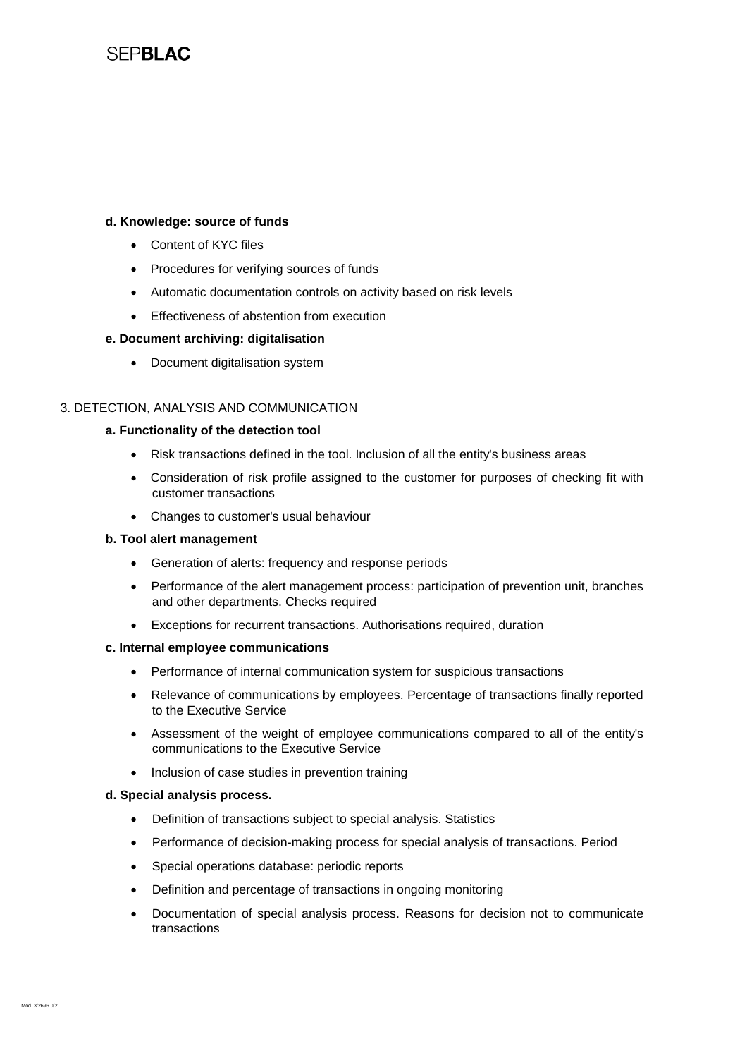# **SFPBLAC**

#### **d. Knowledge: source of funds**

- Content of KYC files
- Procedures for verifying sources of funds
- Automatic documentation controls on activity based on risk levels
- **Effectiveness of abstention from execution**

#### **e. Document archiving: digitalisation**

• Document digitalisation system

## 3. DETECTION, ANALYSIS AND COMMUNICATION

#### **a. Functionality of the detection tool**

- Risk transactions defined in the tool. Inclusion of all the entity's business areas
- Consideration of risk profile assigned to the customer for purposes of checking fit with customer transactions
- Changes to customer's usual behaviour

#### **b. Tool alert management**

- Generation of alerts: frequency and response periods
- Performance of the alert management process: participation of prevention unit, branches and other departments. Checks required
- Exceptions for recurrent transactions. Authorisations required, duration

#### **c. Internal employee communications**

- Performance of internal communication system for suspicious transactions
- Relevance of communications by employees. Percentage of transactions finally reported to the Executive Service
- Assessment of the weight of employee communications compared to all of the entity's communications to the Executive Service
- Inclusion of case studies in prevention training

#### **d. Special analysis process.**

- Definition of transactions subject to special analysis. Statistics
- Performance of decision-making process for special analysis of transactions. Period
- Special operations database: periodic reports
- Definition and percentage of transactions in ongoing monitoring
- Documentation of special analysis process. Reasons for decision not to communicate transactions